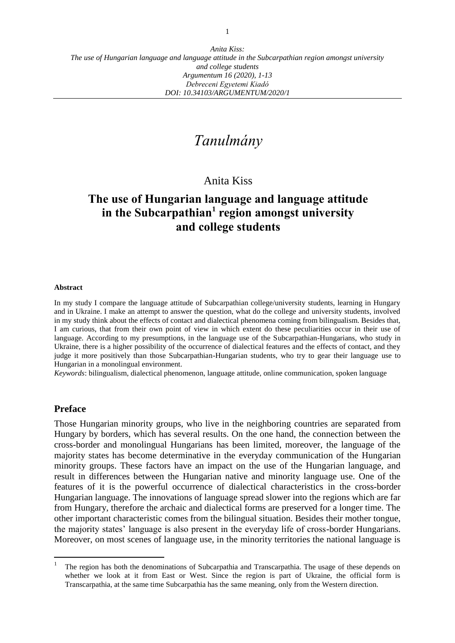# *Tanulmány*

# Anita Kiss

# **The use of Hungarian language and language attitude in the Subcarpathian<sup>1</sup> region amongst university and college students**

#### **Abstract**

In my study I compare the language attitude of Subcarpathian college/university students, learning in Hungary and in Ukraine. I make an attempt to answer the question, what do the college and university students, involved in my study think about the effects of contact and dialectical phenomena coming from bilingualism. Besides that, I am curious, that from their own point of view in which extent do these peculiarities occur in their use of language. According to my presumptions, in the language use of the Subcarpathian-Hungarians, who study in Ukraine, there is a higher possibility of the occurrence of dialectical features and the effects of contact, and they judge it more positively than those Subcarpathian-Hungarian students, who try to gear their language use to Hungarian in a monolingual environment.

*Keywords*: bilingualism, dialectical phenomenon, language attitude, online communication, spoken language

#### **Preface**

 $\overline{a}$ 

Those Hungarian minority groups, who live in the neighboring countries are separated from Hungary by borders, which has several results. On the one hand, the connection between the cross-border and monolingual Hungarians has been limited, moreover, the language of the majority states has become determinative in the everyday communication of the Hungarian minority groups. These factors have an impact on the use of the Hungarian language, and result in differences between the Hungarian native and minority language use. One of the features of it is the powerful occurrence of dialectical characteristics in the cross-border Hungarian language. The innovations of language spread slower into the regions which are far from Hungary, therefore the archaic and dialectical forms are preserved for a longer time. The other important characteristic comes from the bilingual situation. Besides their mother tongue, the majority states' language is also present in the everyday life of cross-border Hungarians. Moreover, on most scenes of language use, in the minority territories the national language is

<sup>1</sup> The region has both the denominations of Subcarpathia and Transcarpathia. The usage of these depends on whether we look at it from East or West. Since the region is part of Ukraine, the official form is Transcarpathia, at the same time Subcarpathia has the same meaning, only from the Western direction.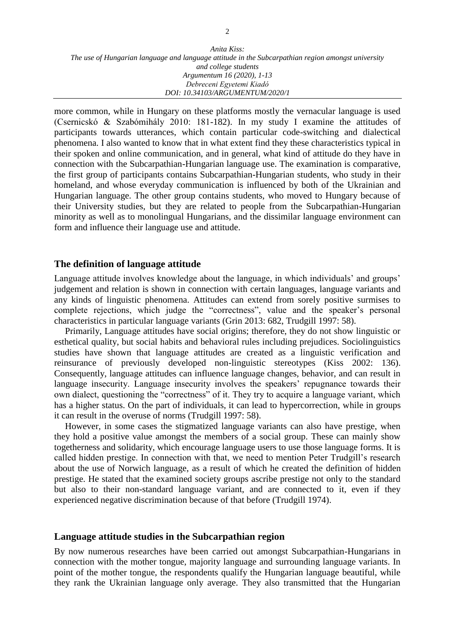more common, while in Hungary on these platforms mostly the vernacular language is used (Csernicskó & Szabómihály 2010: 181-182). In my study I examine the attitudes of participants towards utterances, which contain particular code-switching and dialectical phenomena. I also wanted to know that in what extent find they these characteristics typical in their spoken and online communication, and in general, what kind of attitude do they have in connection with the Subcarpathian-Hungarian language use. The examination is comparative, the first group of participants contains Subcarpathian-Hungarian students, who study in their homeland, and whose everyday communication is influenced by both of the Ukrainian and Hungarian language. The other group contains students, who moved to Hungary because of their University studies, but they are related to people from the Subcarpathian-Hungarian minority as well as to monolingual Hungarians, and the dissimilar language environment can form and influence their language use and attitude.

### **The definition of language attitude**

Language attitude involves knowledge about the language, in which individuals' and groups' judgement and relation is shown in connection with certain languages, language variants and any kinds of linguistic phenomena. Attitudes can extend from sorely positive surmises to complete rejections, which judge the "correctness", value and the speaker's personal characteristics in particular language variants (Grin 2013: 682, Trudgill 1997: 58).

Primarily, Language attitudes have social origins; therefore, they do not show linguistic or esthetical quality, but social habits and behavioral rules including prejudices. Sociolinguistics studies have shown that language attitudes are created as a linguistic verification and reinsurance of previously developed non-linguistic stereotypes (Kiss 2002: 136). Consequently, language attitudes can influence language changes, behavior, and can result in language insecurity. Language insecurity involves the speakers' repugnance towards their own dialect, questioning the "correctness" of it. They try to acquire a language variant, which has a higher status. On the part of individuals, it can lead to hypercorrection, while in groups it can result in the overuse of norms (Trudgill 1997: 58).

However, in some cases the stigmatized language variants can also have prestige, when they hold a positive value amongst the members of a social group. These can mainly show togetherness and solidarity, which encourage language users to use those language forms. It is called hidden prestige. In connection with that, we need to mention Peter Trudgill's research about the use of Norwich language, as a result of which he created the definition of hidden prestige. He stated that the examined society groups ascribe prestige not only to the standard but also to their non-standard language variant, and are connected to it, even if they experienced negative discrimination because of that before (Trudgill 1974).

#### **Language attitude studies in the Subcarpathian region**

By now numerous researches have been carried out amongst Subcarpathian-Hungarians in connection with the mother tongue, majority language and surrounding language variants. In point of the mother tongue, the respondents qualify the Hungarian language beautiful, while they rank the Ukrainian language only average. They also transmitted that the Hungarian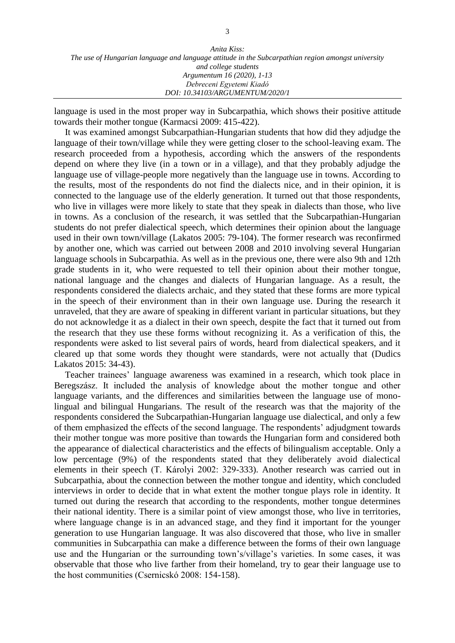| Anita Kiss:                                                                                        |
|----------------------------------------------------------------------------------------------------|
| The use of Hungarian language and language attitude in the Subcarpathian region amongst university |
| and college students                                                                               |
| Argumentum 16 (2020), 1-13                                                                         |
| Debreceni Egyetemi Kiadó                                                                           |
| DOI: 10.34103/ARGUMENTUM/2020/1                                                                    |

language is used in the most proper way in Subcarpathia, which shows their positive attitude towards their mother tongue (Karmacsi 2009: 415-422).

It was examined amongst Subcarpathian-Hungarian students that how did they adjudge the language of their town/village while they were getting closer to the school-leaving exam. The research proceeded from a hypothesis, according which the answers of the respondents depend on where they live (in a town or in a village), and that they probably adjudge the language use of village-people more negatively than the language use in towns. According to the results, most of the respondents do not find the dialects nice, and in their opinion, it is connected to the language use of the elderly generation. It turned out that those respondents, who live in villages were more likely to state that they speak in dialects than those, who live in towns. As a conclusion of the research, it was settled that the Subcarpathian-Hungarian students do not prefer dialectical speech, which determines their opinion about the language used in their own town/village (Lakatos 2005: 79-104). The former research was reconfirmed by another one, which was carried out between 2008 and 2010 involving several Hungarian language schools in Subcarpathia. As well as in the previous one, there were also 9th and 12th grade students in it, who were requested to tell their opinion about their mother tongue, national language and the changes and dialects of Hungarian language. As a result, the respondents considered the dialects archaic, and they stated that these forms are more typical in the speech of their environment than in their own language use. During the research it unraveled, that they are aware of speaking in different variant in particular situations, but they do not acknowledge it as a dialect in their own speech, despite the fact that it turned out from the research that they use these forms without recognizing it. As a verification of this, the respondents were asked to list several pairs of words, heard from dialectical speakers, and it cleared up that some words they thought were standards, were not actually that (Dudics Lakatos 2015: 34-43).

Teacher trainees' language awareness was examined in a research, which took place in Beregszász. It included the analysis of knowledge about the mother tongue and other language variants, and the differences and similarities between the language use of monolingual and bilingual Hungarians. The result of the research was that the majority of the respondents considered the Subcarpathian-Hungarian language use dialectical, and only a few of them emphasized the effects of the second language. The respondents' adjudgment towards their mother tongue was more positive than towards the Hungarian form and considered both the appearance of dialectical characteristics and the effects of bilingualism acceptable. Only a low percentage (9%) of the respondents stated that they deliberately avoid dialectical elements in their speech (T. Károlyi 2002: 329-333). Another research was carried out in Subcarpathia, about the connection between the mother tongue and identity, which concluded interviews in order to decide that in what extent the mother tongue plays role in identity. It turned out during the research that according to the respondents, mother tongue determines their national identity. There is a similar point of view amongst those, who live in territories, where language change is in an advanced stage, and they find it important for the younger generation to use Hungarian language. It was also discovered that those, who live in smaller communities in Subcarpathia can make a difference between the forms of their own language use and the Hungarian or the surrounding town's/village's varieties. In some cases, it was observable that those who live farther from their homeland, try to gear their language use to the host communities (Csernicskó 2008: 154-158).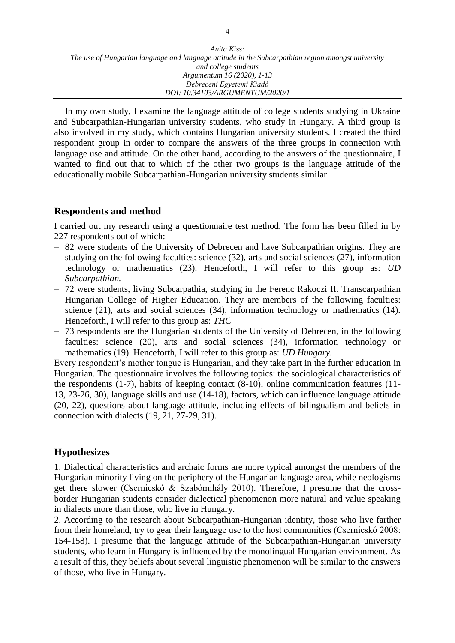In my own study, I examine the language attitude of college students studying in Ukraine and Subcarpathian-Hungarian university students, who study in Hungary. A third group is also involved in my study, which contains Hungarian university students. I created the third respondent group in order to compare the answers of the three groups in connection with language use and attitude. On the other hand, according to the answers of the questionnaire, I wanted to find out that to which of the other two groups is the language attitude of the educationally mobile Subcarpathian-Hungarian university students similar.

## **Respondents and method**

I carried out my research using a questionnaire test method. The form has been filled in by 227 respondents out of which:

- ‒ 82 were students of the University of Debrecen and have Subcarpathian origins. They are studying on the following faculties: science (32), arts and social sciences (27), information technology or mathematics (23). Henceforth, I will refer to this group as: *UD Subcarpathian.*
- ‒ 72 were students, living Subcarpathia, studying in the Ferenc Rakoczi II. Transcarpathian Hungarian College of Higher Education. They are members of the following faculties: science (21), arts and social sciences (34), information technology or mathematics (14). Henceforth, I will refer to this group as: *THC*
- ‒ 73 respondents are the Hungarian students of the University of Debrecen, in the following faculties: science (20), arts and social sciences (34), information technology or mathematics (19). Henceforth, I will refer to this group as: *UD Hungary.*

Every respondent's mother tongue is Hungarian, and they take part in the further education in Hungarian. The questionnaire involves the following topics: the sociological characteristics of the respondents (1-7), habits of keeping contact (8-10), online communication features (11- 13, 23-26, 30), language skills and use (14-18), factors, which can influence language attitude (20, 22), questions about language attitude, including effects of bilingualism and beliefs in connection with dialects (19, 21, 27-29, 31).

# **Hypothesizes**

1. Dialectical characteristics and archaic forms are more typical amongst the members of the Hungarian minority living on the periphery of the Hungarian language area, while neologisms get there slower (Csernicskó & Szabómihály 2010). Therefore, I presume that the crossborder Hungarian students consider dialectical phenomenon more natural and value speaking in dialects more than those, who live in Hungary.

2. According to the research about Subcarpathian-Hungarian identity, those who live farther from their homeland, try to gear their language use to the host communities (Csernicskó 2008: 154-158). I presume that the language attitude of the Subcarpathian-Hungarian university students, who learn in Hungary is influenced by the monolingual Hungarian environment. As a result of this, they beliefs about several linguistic phenomenon will be similar to the answers of those, who live in Hungary.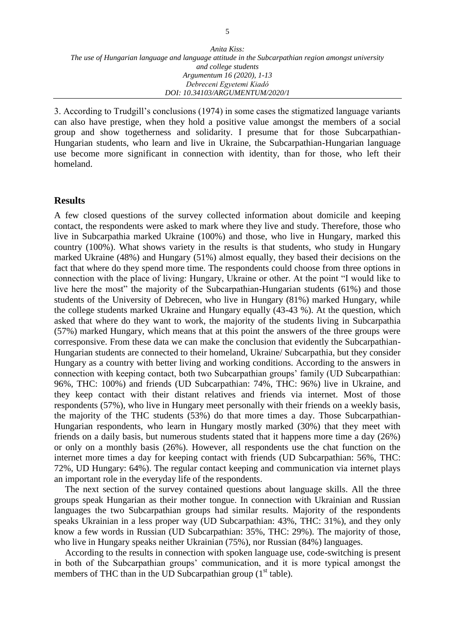3. According to Trudgill's conclusions (1974) in some cases the stigmatized language variants can also have prestige, when they hold a positive value amongst the members of a social group and show togetherness and solidarity. I presume that for those Subcarpathian-Hungarian students, who learn and live in Ukraine, the Subcarpathian-Hungarian language use become more significant in connection with identity, than for those, who left their homeland.

### **Results**

A few closed questions of the survey collected information about domicile and keeping contact, the respondents were asked to mark where they live and study. Therefore, those who live in Subcarpathia marked Ukraine (100%) and those, who live in Hungary, marked this country (100%). What shows variety in the results is that students, who study in Hungary marked Ukraine (48%) and Hungary (51%) almost equally, they based their decisions on the fact that where do they spend more time. The respondents could choose from three options in connection with the place of living: Hungary, Ukraine or other. At the point "I would like to live here the most" the majority of the Subcarpathian-Hungarian students (61%) and those students of the University of Debrecen, who live in Hungary (81%) marked Hungary, while the college students marked Ukraine and Hungary equally (43-43 %). At the question, which asked that where do they want to work, the majority of the students living in Subcarpathia (57%) marked Hungary, which means that at this point the answers of the three groups were corresponsive. From these data we can make the conclusion that evidently the Subcarpathian-Hungarian students are connected to their homeland, Ukraine/ Subcarpathia, but they consider Hungary as a country with better living and working conditions. According to the answers in connection with keeping contact, both two Subcarpathian groups' family (UD Subcarpathian: 96%, THC: 100%) and friends (UD Subcarpathian: 74%, THC: 96%) live in Ukraine, and they keep contact with their distant relatives and friends via internet. Most of those respondents (57%), who live in Hungary meet personally with their friends on a weekly basis, the majority of the THC students (53%) do that more times a day. Those Subcarpathian-Hungarian respondents, who learn in Hungary mostly marked (30%) that they meet with friends on a daily basis, but numerous students stated that it happens more time a day (26%) or only on a monthly basis (26%). However, all respondents use the chat function on the internet more times a day for keeping contact with friends (UD Subcarpathian: 56%, THC: 72%, UD Hungary: 64%). The regular contact keeping and communication via internet plays an important role in the everyday life of the respondents.

The next section of the survey contained questions about language skills. All the three groups speak Hungarian as their mother tongue. In connection with Ukrainian and Russian languages the two Subcarpathian groups had similar results. Majority of the respondents speaks Ukrainian in a less proper way (UD Subcarpathian: 43%, THC: 31%), and they only know a few words in Russian (UD Subcarpathian: 35%, THC: 29%). The majority of those, who live in Hungary speaks neither Ukrainian (75%), nor Russian (84%) languages.

According to the results in connection with spoken language use, code-switching is present in both of the Subcarpathian groups' communication, and it is more typical amongst the members of THC than in the UD Subcarpathian group  $(1<sup>st</sup> table)$ .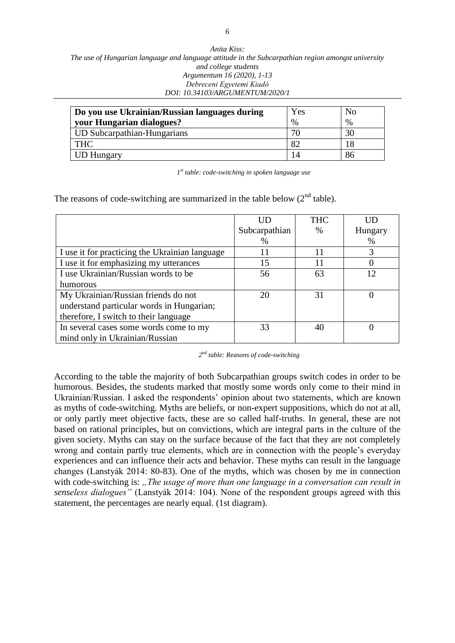| Do you use Ukrainian/Russian languages during | Yes  | No   |
|-----------------------------------------------|------|------|
| your Hungarian dialogues?                     | $\%$ | $\%$ |
| UD Subcarpathian-Hungarians                   |      |      |
| <b>THC</b>                                    |      |      |
| <b>UD Hungary</b>                             |      | 86   |

*1 st table: code-switching in spoken language use*

The reasons of code-switching are summarized in the table below  $(2<sup>nd</sup> table)$ .

|                                                | UD            | <b>THC</b> | ШD      |
|------------------------------------------------|---------------|------------|---------|
|                                                | Subcarpathian | $\%$       | Hungary |
|                                                | $\%$          |            | %       |
| I use it for practicing the Ukrainian language | 11            | 11         | 3       |
| I use it for emphasizing my utterances         | 15            | 11         |         |
| I use Ukrainian/Russian words to be            | 56            | 63         | 12      |
| humorous                                       |               |            |         |
| My Ukrainian/Russian friends do not            | 20            | 31         |         |
| understand particular words in Hungarian;      |               |            |         |
| therefore, I switch to their language          |               |            |         |
| In several cases some words come to my         | 33            |            |         |
| mind only in Ukrainian/Russian                 |               |            |         |

*2 nd table: Reasons of code-switching*

According to the table the majority of both Subcarpathian groups switch codes in order to be humorous. Besides, the students marked that mostly some words only come to their mind in Ukrainian/Russian. I asked the respondents' opinion about two statements, which are known as myths of code-switching. Myths are beliefs, or non-expert suppositions, which do not at all, or only partly meet objective facts, these are so called half-truths. In general, these are not based on rational principles, but on convictions, which are integral parts in the culture of the given society. Myths can stay on the surface because of the fact that they are not completely wrong and contain partly true elements, which are in connection with the people's everyday experiences and can influence their acts and behavior. These myths can result in the language changes (Lanstyák 2014: 80-83). One of the myths, which was chosen by me in connection with code-switching is: *"The usage of more than one language in a conversation can result in senseless dialogues"* (Lanstyák 2014: 104). None of the respondent groups agreed with this statement, the percentages are nearly equal. (1st diagram).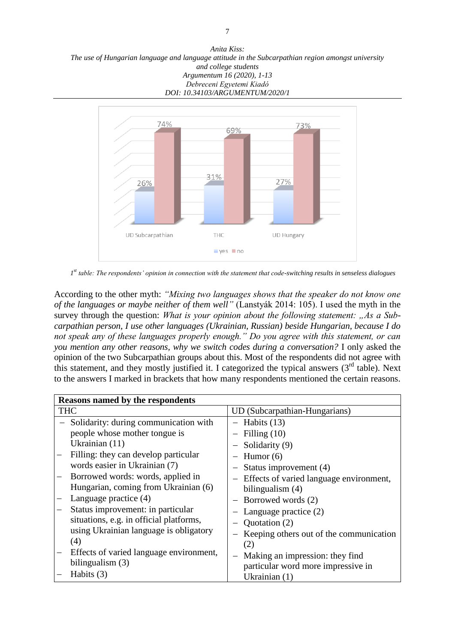*Anita Kiss: The use of Hungarian language and language attitude in the Subcarpathian region amongst university and college students Argumentum 16 (2020), 1-13 Debreceni Egyetemi Kiadó DOI: 10.34103/ARGUMENTUM/2020/1*



*1 st table: The respondents' opinion in connection with the statement that code-switching results in senseless dialogues*

According to the other myth: *"Mixing two languages shows that the speaker do not know one of the languages or maybe neither of them well"* (Lanstyák 2014: 105). I used the myth in the survey through the question: *What is your opinion about the following statement:* "As a Sub*carpathian person, I use other languages (Ukrainian, Russian) beside Hungarian, because I do not speak any of these languages properly enough." Do you agree with this statement, or can you mention any other reasons, why we switch codes during a conversation?* I only asked the opinion of the two Subcarpathian groups about this. Most of the respondents did not agree with this statement, and they mostly justified it. I categorized the typical answers  $(3<sup>rd</sup>$  table). Next to the answers I marked in brackets that how many respondents mentioned the certain reasons.

| <b>Reasons named by the respondents</b> |                                           |
|-----------------------------------------|-------------------------------------------|
| <b>THC</b>                              | UD (Subcarpathian-Hungarians)             |
| - Solidarity: during communication with | $-$ Habits (13)                           |
| people whose mother tongue is           | Filling $(10)$                            |
| Ukrainian (11)                          | Solidarity (9)                            |
| Filling: they can develop particular    | Humor $(6)$                               |
| words easier in Ukrainian (7)           | Status improvement (4)                    |
| Borrowed words: words, applied in       | - Effects of varied language environment, |
| Hungarian, coming from Ukrainian (6)    | bilingualism $(4)$                        |
| Language practice (4)                   | - Borrowed words (2)                      |
| Status improvement: in particular       | Language practice (2)                     |
| situations, e.g. in official platforms, | Quotation (2)                             |
| using Ukrainian language is obligatory  | Keeping others out of the communication   |
| (4)                                     | (2)                                       |
| Effects of varied language environment, | Making an impression: they find           |
| bilingualism (3)                        | particular word more impressive in        |
| Habits (3)                              | Ukrainian (1)                             |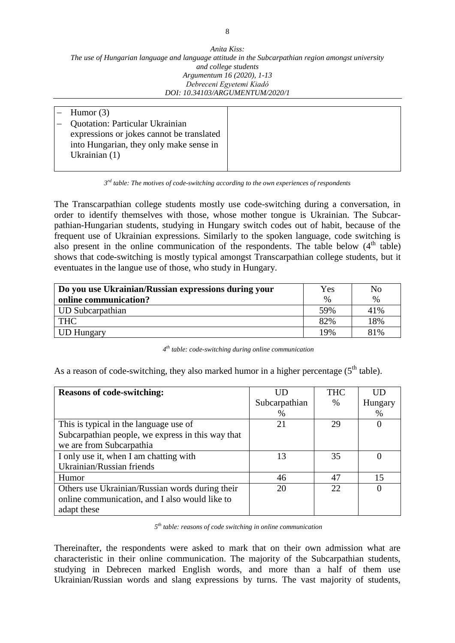| Humor $(3)$                               |
|-------------------------------------------|
| <b>Quotation: Particular Ukrainian</b>    |
| expressions or jokes cannot be translated |
| into Hungarian, they only make sense in   |
| Ukrainian $(1)$                           |
|                                           |

*<sup>3</sup> rd table: The motives of code-switching according to the own experiences of respondents* 

The Transcarpathian college students mostly use code-switching during a conversation, in order to identify themselves with those, whose mother tongue is Ukrainian. The Subcarpathian-Hungarian students, studying in Hungary switch codes out of habit, because of the frequent use of Ukrainian expressions. Similarly to the spoken language, code switching is also present in the online communication of the respondents. The table below  $(4<sup>th</sup>$  table) shows that code-switching is mostly typical amongst Transcarpathian college students, but it eventuates in the langue use of those, who study in Hungary.

| Do you use Ukrainian/Russian expressions during your | Yes  | No   |
|------------------------------------------------------|------|------|
| online communication?                                | $\%$ | $\%$ |
| <b>UD</b> Subcarpathian                              | 59%  | 41%  |
| <b>THC</b>                                           | 82%  | 18%  |
| <b>UD Hungary</b>                                    | 19%  | 81%  |

*4 th table: code-switching during online communication*

As a reason of code-switching, they also marked humor in a higher percentage  $(5<sup>th</sup>$  table).

| <b>Reasons of code-switching:</b>                 |               | <b>THC</b> | UD       |
|---------------------------------------------------|---------------|------------|----------|
|                                                   | Subcarpathian | $\%$       | Hungary  |
|                                                   | $\%$          |            | $\%$     |
| This is typical in the language use of            | 21            | 29         | $\Omega$ |
| Subcarpathian people, we express in this way that |               |            |          |
| we are from Subcarpathia                          |               |            |          |
| I only use it, when I am chatting with            | 13            | 35         |          |
| Ukrainian/Russian friends                         |               |            |          |
| Humor                                             | 46            | 47         | 15       |
| Others use Ukrainian/Russian words during their   | 20            | 22         |          |
| online communication, and I also would like to    |               |            |          |
| adapt these                                       |               |            |          |

*5 th table: reasons of code switching in online communication*

Thereinafter, the respondents were asked to mark that on their own admission what are characteristic in their online communication. The majority of the Subcarpathian students, studying in Debrecen marked English words, and more than a half of them use Ukrainian/Russian words and slang expressions by turns. The vast majority of students,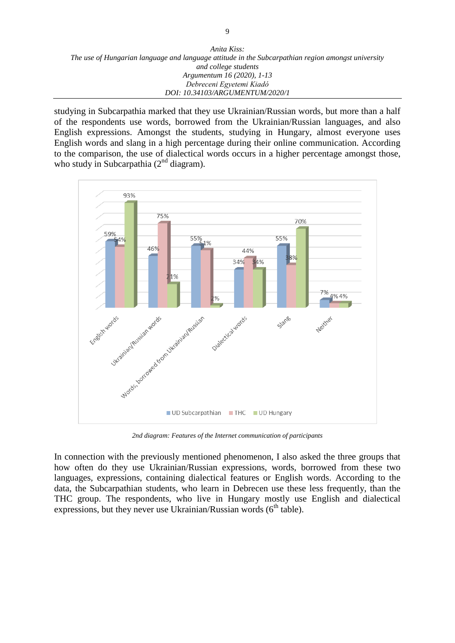| Anita Kiss:                                                                                        |
|----------------------------------------------------------------------------------------------------|
| The use of Hungarian language and language attitude in the Subcarpathian region amongst university |
| and college students                                                                               |
| Argumentum 16 (2020), 1-13                                                                         |
| Debreceni Egyetemi Kiadó                                                                           |
| DOI: 10.34103/ARGUMENTUM/2020/1                                                                    |

studying in Subcarpathia marked that they use Ukrainian/Russian words, but more than a half of the respondents use words, borrowed from the Ukrainian/Russian languages, and also English expressions. Amongst the students, studying in Hungary, almost everyone uses English words and slang in a high percentage during their online communication. According to the comparison, the use of dialectical words occurs in a higher percentage amongst those, who study in Subcarpathia  $(2<sup>nd</sup>$  diagram).



*2nd diagram: Features of the Internet communication of participants*

In connection with the previously mentioned phenomenon, I also asked the three groups that how often do they use Ukrainian/Russian expressions, words, borrowed from these two languages, expressions, containing dialectical features or English words. According to the data, the Subcarpathian students, who learn in Debrecen use these less frequently, than the THC group. The respondents, who live in Hungary mostly use English and dialectical expressions, but they never use Ukrainian/Russian words  $(6<sup>th</sup> table)$ .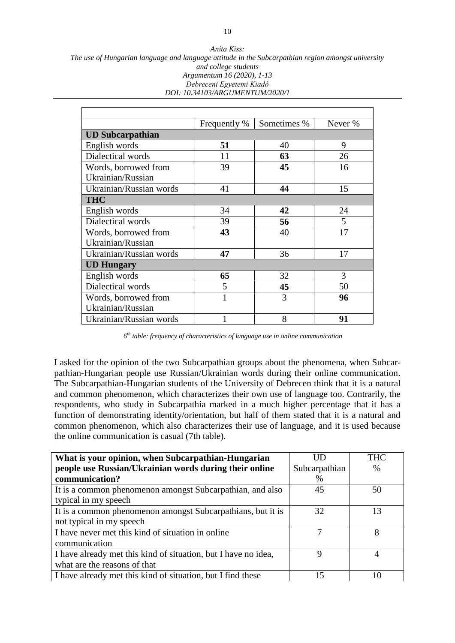*Anita Kiss: The use of Hungarian language and language attitude in the Subcarpathian region amongst university and college students Argumentum 16 (2020), 1-13 Debreceni Egyetemi Kiadó DOI: 10.34103/ARGUMENTUM/2020/1*

|                         | Frequently % | Sometimes % | Never % |  |
|-------------------------|--------------|-------------|---------|--|
| <b>UD Subcarpathian</b> |              |             |         |  |
| English words           | 51           | 40          | 9       |  |
| Dialectical words       | 11           | 63          | 26      |  |
| Words, borrowed from    | 39           | 45          | 16      |  |
| Ukrainian/Russian       |              |             |         |  |
| Ukrainian/Russian words | 41           | 44          | 15      |  |
| <b>THC</b>              |              |             |         |  |
| English words           | 34           | 42          | 24      |  |
| Dialectical words       | 39           | 56          | 5       |  |
| Words, borrowed from    | 43           | 40          | 17      |  |
| Ukrainian/Russian       |              |             |         |  |
| Ukrainian/Russian words | 47           | 36          | 17      |  |
| <b>UD Hungary</b>       |              |             |         |  |
| English words           | 65           | 32          | 3       |  |
| Dialectical words       | 5            | 45          | 50      |  |
| Words, borrowed from    | 1            | 3           | 96      |  |
| Ukrainian/Russian       |              |             |         |  |
| Ukrainian/Russian words |              | 8           | 91      |  |

*6 th table: frequency of characteristics of language use in online communication*

I asked for the opinion of the two Subcarpathian groups about the phenomena, when Subcarpathian-Hungarian people use Russian/Ukrainian words during their online communication. The Subcarpathian-Hungarian students of the University of Debrecen think that it is a natural and common phenomenon, which characterizes their own use of language too. Contrarily, the respondents, who study in Subcarpathia marked in a much higher percentage that it has a function of demonstrating identity/orientation, but half of them stated that it is a natural and common phenomenon, which also characterizes their use of language, and it is used because the online communication is casual (7th table).

| What is your opinion, when Subcarpathian-Hungarian             | ΠD            | <b>THC</b> |
|----------------------------------------------------------------|---------------|------------|
| people use Russian/Ukrainian words during their online         | Subcarpathian | $\%$       |
| communication?                                                 | $\%$          |            |
| It is a common phenomenon amongst Subcarpathian, and also      | 45            | 50         |
| typical in my speech                                           |               |            |
| It is a common phenomenon amongst Subcarpathians, but it is    | 32            | 13         |
| not typical in my speech                                       |               |            |
| I have never met this kind of situation in online              | 7             | 8          |
| communication                                                  |               |            |
| I have already met this kind of situation, but I have no idea, | Q             |            |
| what are the reasons of that                                   |               |            |
| I have already met this kind of situation, but I find these    | 15            |            |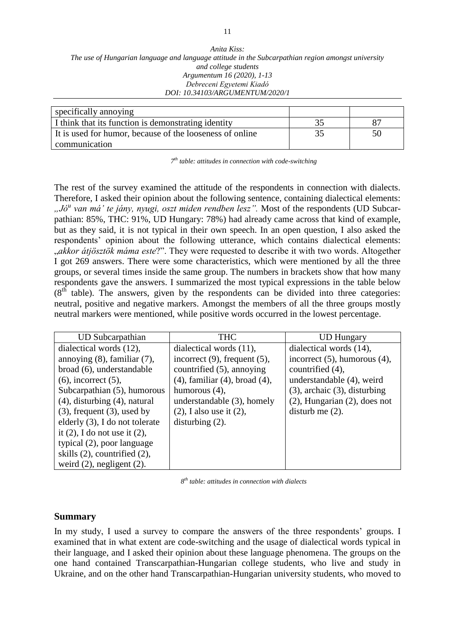| specifically annoying                                    |    |
|----------------------------------------------------------|----|
| I think that its function is demonstrating identity      |    |
| It is used for humor, because of the looseness of online | 50 |
| communication                                            |    |

*7 th table: attitudes in connection with code-switching*

The rest of the survey examined the attitude of the respondents in connection with dialects. Therefore, I asked their opinion about the following sentence, containing dialectical elements: *"Jó<sup>u</sup> van má' te jány, nyugi, oszt miden rendben lesz".* Most of the respondents (UD Subcarpathian: 85%, THC: 91%, UD Hungary: 78%) had already came across that kind of example, but as they said, it is not typical in their own speech. In an open question, I also asked the respondents' opinion about the following utterance, which contains dialectical elements: "*akkor átjösztök máma este*?". They were requested to describe it with two words. Altogether I got 269 answers. There were some characteristics, which were mentioned by all the three groups, or several times inside the same group. The numbers in brackets show that how many respondents gave the answers. I summarized the most typical expressions in the table below  $(8<sup>th</sup>$  table). The answers, given by the respondents can be divided into three categories: neutral, positive and negative markers. Amongst the members of all the three groups mostly neutral markers were mentioned, while positive words occurred in the lowest percentage.

| <b>UD</b> Subcarpathian            | <b>THC</b>                             | <b>UD Hungary</b>                  |
|------------------------------------|----------------------------------------|------------------------------------|
| dialectical words (12),            | dialectical words $(11)$ ,             | dialectical words (14),            |
| annoying $(8)$ , familiar $(7)$ ,  | incorrect $(9)$ , frequent $(5)$ ,     | incorrect $(5)$ , humorous $(4)$ , |
| broad (6), understandable          | countrified (5), annoying              | countrified (4),                   |
| $(6)$ , incorrect $(5)$ ,          | $(4)$ , familiar $(4)$ , broad $(4)$ , | understandable (4), weird          |
| Subcarpathian (5), humorous        | humorous $(4)$ ,                       | $(3)$ , archaic $(3)$ , disturbing |
| $(4)$ , disturbing $(4)$ , natural | understandable (3), homely             | $(2)$ , Hungarian $(2)$ , does not |
| $(3)$ , frequent $(3)$ , used by   | $(2)$ , I also use it $(2)$ ,          | disturb me $(2)$ .                 |
| elderly (3), I do not tolerate     | disturbing $(2)$ .                     |                                    |
| it $(2)$ , I do not use it $(2)$ , |                                        |                                    |
| typical (2), poor language         |                                        |                                    |
| skills $(2)$ , countrified $(2)$ , |                                        |                                    |
| weird $(2)$ , negligent $(2)$ .    |                                        |                                    |

*8 th table: attitudes in connection with dialects*

### **Summary**

In my study, I used a survey to compare the answers of the three respondents' groups. I examined that in what extent are code-switching and the usage of dialectical words typical in their language, and I asked their opinion about these language phenomena. The groups on the one hand contained Transcarpathian-Hungarian college students, who live and study in Ukraine, and on the other hand Transcarpathian-Hungarian university students, who moved to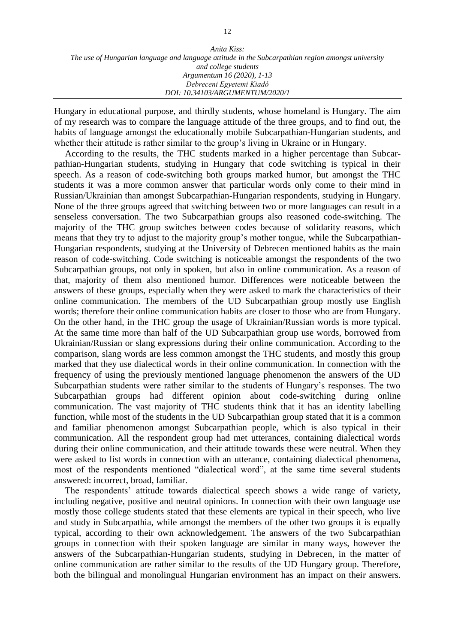Hungary in educational purpose, and thirdly students, whose homeland is Hungary. The aim of my research was to compare the language attitude of the three groups, and to find out, the habits of language amongst the educationally mobile Subcarpathian-Hungarian students, and whether their attitude is rather similar to the group's living in Ukraine or in Hungary.

According to the results, the THC students marked in a higher percentage than Subcarpathian-Hungarian students, studying in Hungary that code switching is typical in their speech. As a reason of code-switching both groups marked humor, but amongst the THC students it was a more common answer that particular words only come to their mind in Russian/Ukrainian than amongst Subcarpathian-Hungarian respondents, studying in Hungary. None of the three groups agreed that switching between two or more languages can result in a senseless conversation. The two Subcarpathian groups also reasoned code-switching. The majority of the THC group switches between codes because of solidarity reasons, which means that they try to adjust to the majority group's mother tongue, while the Subcarpathian-Hungarian respondents, studying at the University of Debrecen mentioned habits as the main reason of code-switching. Code switching is noticeable amongst the respondents of the two Subcarpathian groups, not only in spoken, but also in online communication. As a reason of that, majority of them also mentioned humor. Differences were noticeable between the answers of these groups, especially when they were asked to mark the characteristics of their online communication. The members of the UD Subcarpathian group mostly use English words; therefore their online communication habits are closer to those who are from Hungary. On the other hand, in the THC group the usage of Ukrainian/Russian words is more typical. At the same time more than half of the UD Subcarpathian group use words, borrowed from Ukrainian/Russian or slang expressions during their online communication. According to the comparison, slang words are less common amongst the THC students, and mostly this group marked that they use dialectical words in their online communication. In connection with the frequency of using the previously mentioned language phenomenon the answers of the UD Subcarpathian students were rather similar to the students of Hungary's responses. The two Subcarpathian groups had different opinion about code-switching during online communication. The vast majority of THC students think that it has an identity labelling function, while most of the students in the UD Subcarpathian group stated that it is a common and familiar phenomenon amongst Subcarpathian people, which is also typical in their communication. All the respondent group had met utterances, containing dialectical words during their online communication, and their attitude towards these were neutral. When they were asked to list words in connection with an utterance, containing dialectical phenomena, most of the respondents mentioned "dialectical word", at the same time several students answered: incorrect, broad, familiar.

The respondents' attitude towards dialectical speech shows a wide range of variety, including negative, positive and neutral opinions. In connection with their own language use mostly those college students stated that these elements are typical in their speech, who live and study in Subcarpathia, while amongst the members of the other two groups it is equally typical, according to their own acknowledgement. The answers of the two Subcarpathian groups in connection with their spoken language are similar in many ways, however the answers of the Subcarpathian-Hungarian students, studying in Debrecen, in the matter of online communication are rather similar to the results of the UD Hungary group. Therefore, both the bilingual and monolingual Hungarian environment has an impact on their answers.